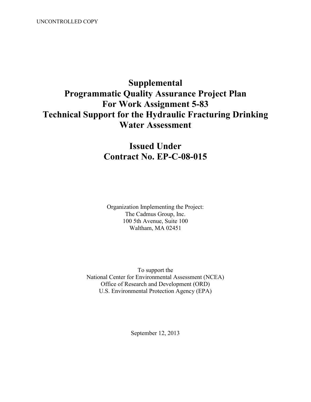# **Supplemental Programmatic Quality Assurance Project Plan For Work Assignment 5-83 Technical Support for the Hydraulic Fracturing Drinking Water Assessment**

# **Issued Under Contract No. EP-C-08-015**

Organization Implementing the Project: The Cadmus Group, Inc. 100 5th Avenue, Suite 100 Waltham, MA 02451

 National Center for Environmental Assessment (NCEA) Office of Research and Development (ORD) U.S. Environmental Protection Agency (EPA) To support the

September 12, 2013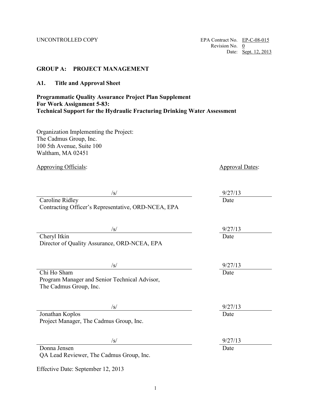### **GROUP A: PROJECT MANAGEMENT**

**A1. Title and Approval Sheet** 

# **Programmatic Quality Assurance Project Plan Supplement For Work Assignment 5-83: Technical Support for the Hydraulic Fracturing Drinking Water Assessment**

Organization Implementing the Project: The Cadmus Group, Inc. 100 5th Avenue, Suite 100 Waltham, MA 02451

| <b>Approving Officials:</b>                                  | <b>Approval Dates:</b> |  |  |
|--------------------------------------------------------------|------------------------|--|--|
|                                                              |                        |  |  |
| $\sqrt{s}$                                                   | 9/27/13                |  |  |
| <b>Caroline Ridley</b>                                       | Date                   |  |  |
| Contracting Officer's Representative, ORD-NCEA, EPA          |                        |  |  |
|                                                              |                        |  |  |
| $\sqrt{s}$                                                   | 9/27/13<br>Date        |  |  |
| Cheryl Itkin<br>Director of Quality Assurance, ORD-NCEA, EPA |                        |  |  |
|                                                              |                        |  |  |
|                                                              |                        |  |  |
| /s/                                                          | 9/27/13                |  |  |
| Chi Ho Sham                                                  | Date                   |  |  |
| Program Manager and Senior Technical Advisor,                |                        |  |  |
| The Cadmus Group, Inc.                                       |                        |  |  |
|                                                              |                        |  |  |
| $\sqrt{s/}$                                                  | 9/27/13                |  |  |
| Jonathan Koplos                                              | Date                   |  |  |
| Project Manager, The Cadmus Group, Inc.                      |                        |  |  |
|                                                              |                        |  |  |
| $\sqrt{s}$                                                   | 9/27/13                |  |  |
| Donna Jensen                                                 | Date                   |  |  |
| QA Lead Reviewer, The Cadmus Group, Inc.                     |                        |  |  |
|                                                              |                        |  |  |

Effective Date: September 12, 2013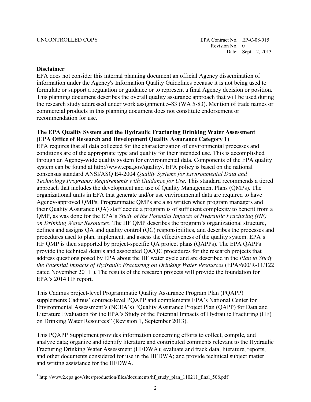### **Disclaimer**

 $\overline{a}$ 

 the research study addressed under work assignment 5-83 (WA 5-83). Mention of trade names or EPA does not consider this internal planning document an official Agency dissemination of information under the Agency's Information Quality Guidelines because it is not being used to formulate or support a regulation or guidance or to represent a final Agency decision or position. This planning document describes the overall quality assurance approach that will be used during commercial products in this planning document does not constitute endorsement or recommendation for use.

### The EPA Quality System and the Hydraulic Fracturing Drinking Water Assessment **(EPA Office of Research and Development Quality Assurance Category 1)**

 QMP, as was done for the EPA's *Study of the Potential Impacts of Hydraulic Fracturing (HF)*  procedures used to plan, implement, and assess the effectiveness of the quality system. EPA's address questions posed by EPA about the HF water cycle and are described in the *Plan to Study*  EPA requires that all data collected for the characterization of environmental processes and conditions are of the appropriate type and quality for their intended use. This is accomplished through an Agency-wide quality system for environmental data. Components of the EPA quality system can be found at [http://www.epa.gov/quality/. EP](http://www.epa.gov/quality/)A policy is based on the national consensus standard ANSI/ASQ E4-2004 *Quality Systems for Environmental Data and Technology Programs: Requirements with Guidance for Use*. This standard recommends a tiered approach that includes the development and use of Quality Management Plans (QMPs). The organizational units in EPA that generate and/or use environmental data are required to have Agency-approved QMPs. Programmatic QMPs are also written when program managers and their Quality Assurance (QA) staff decide a program is of sufficient complexity to benefit from a *on Drinking Water Resources*. The HF QMP describes the program's organizational structure, defines and assigns QA and quality control (QC) responsibilities, and describes the processes and HF QMP is then supported by project-specific QA project plans (QAPPs). The EPA QAPPs provide the technical details and associated QA/QC procedures for the research projects that *the Potential Impacts of Hydraulic Fracturing on Drinking Water Resources* (EPA/600/R-11/122 dated November 20[1](#page-2-0)1<sup>1</sup>). The results of the research projects will provide the foundation for EPA's 2014 HF report.

This Cadmus project-level Programmatic Quality Assurance Program Plan (PQAPP) supplements Cadmus' contract-level PQAPP and complements EPA's National Center for Environmental Assessment's (NCEA's) "Quality Assurance Project Plan (QAPP) for Data and Literature Evaluation for the EPA's Study of the Potential Impacts of Hydraulic Fracturing (HF) on Drinking Water Resources" (Revision 1, September 2013).

This PQAPP Supplement provides information concerning efforts to collect, compile, and analyze data; organize and identify literature and contributed comments relevant to the Hydraulic Fracturing Drinking Water Assessment (HFDWA); evaluate and track data, literature, reports, and other documents considered for use in the HFDWA; and provide technical subject matter and writing assistance for the HFDWA.

<span id="page-2-0"></span><sup>&</sup>lt;sup>1</sup> http://www2.epa.gov/sites/production/files/documents/hf\_study\_plan\_110211\_final\_508.pdf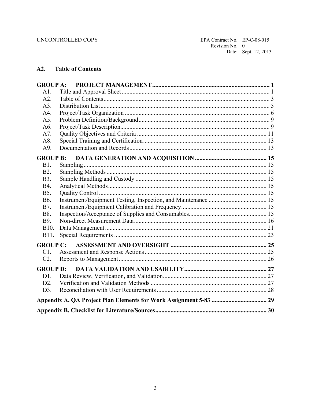# <span id="page-3-0"></span>A2. Table of Contents

| <b>GROUP A:</b> |           |  |
|-----------------|-----------|--|
| A1.             |           |  |
| A2.             |           |  |
| A3.             |           |  |
| A4.             |           |  |
| A5.             |           |  |
| A6.             |           |  |
| A7.             |           |  |
| A8.             |           |  |
| A9.             |           |  |
|                 |           |  |
| B1.             | Sampling. |  |
| <b>B2.</b>      |           |  |
| <b>B</b> 3.     |           |  |
| <b>B4.</b>      |           |  |
| <b>B5.</b>      |           |  |
| <b>B6.</b>      |           |  |
| <b>B7.</b>      |           |  |
| <b>B8.</b>      |           |  |
| B9.             |           |  |
| B10.            |           |  |
| B11.            |           |  |
|                 |           |  |
| C1.             |           |  |
| C2.             |           |  |
| <b>GROUP D:</b> |           |  |
| D1.             |           |  |
| D2.             |           |  |
| D3.             |           |  |
|                 |           |  |
|                 |           |  |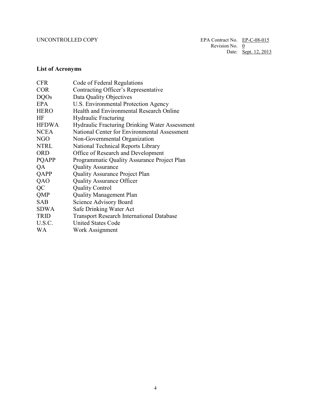# **List of Acronyms**

| <b>CFR</b>   | Code of Federal Regulations                           |
|--------------|-------------------------------------------------------|
| <b>COR</b>   | Contracting Officer's Representative                  |
| <b>DQOs</b>  | Data Quality Objectives                               |
| EPA          | U.S. Environmental Protection Agency                  |
| <b>HERO</b>  | Health and Environmental Research Online              |
| HF           | <b>Hydraulic Fracturing</b>                           |
| <b>HFDWA</b> | <b>Hydraulic Fracturing Drinking Water Assessment</b> |
| <b>NCEA</b>  | National Center for Environmental Assessment          |
| NGO          | Non-Governmental Organization                         |
| <b>NTRL</b>  | National Technical Reports Library                    |
| <b>ORD</b>   | Office of Research and Development                    |
| <b>PQAPP</b> | Programmatic Quality Assurance Project Plan           |
| QA           | <b>Quality Assurance</b>                              |
| QAPP         | <b>Quality Assurance Project Plan</b>                 |
| QAO          | <b>Quality Assurance Officer</b>                      |
| QC           | <b>Quality Control</b>                                |
| QMP          | <b>Quality Management Plan</b>                        |
| <b>SAB</b>   | <b>Science Advisory Board</b>                         |
| <b>SDWA</b>  | Safe Drinking Water Act                               |
| <b>TRID</b>  | <b>Transport Research International Database</b>      |
| U.S.C.       | <b>United States Code</b>                             |
| <b>WA</b>    | Work Assignment                                       |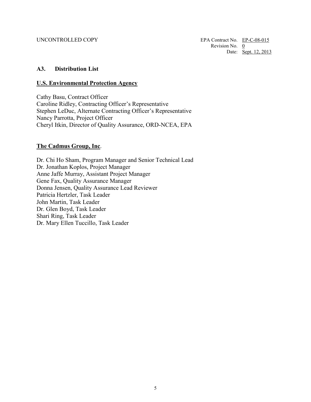### <span id="page-5-0"></span>**A3. Distribution List**

### **U.S. Environmental Protection Agency**

Cathy Basu, Contract Officer Caroline Ridley, Contracting Officer's Representative Stephen LeDuc, Alternate Contracting Officer's Representative Nancy Parrotta, Project Officer Cheryl Itkin, Director of Quality Assurance, ORD-NCEA, EPA

### **The Cadmus Group, Inc**.

 Gene Fax, Quality Assurance Manager Dr. Chi Ho Sham, Program Manager and Senior Technical Lead Dr. Jonathan Koplos, Project Manager Anne Jaffe Murray, Assistant Project Manager Donna Jensen, Quality Assurance Lead Reviewer Patricia Hertzler, Task Leader John Martin, Task Leader Dr. Glen Boyd, Task Leader Shari Ring, Task Leader Dr. Mary Ellen Tuccillo, Task Leader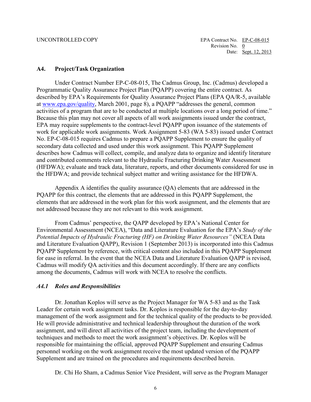### <span id="page-6-0"></span> **A4. Project/Task Organization**

 Under Contract Number EP-C-08-015, The Cadmus Group, Inc. (Cadmus) developed a No. EP-C-08-015 requires Cadmus to prepare a PQAPP Supplement to ensure the quality of Programmatic Quality Assurance Project Plan (PQAPP) covering the entire contract. As described by EPA's Requirements for Quality Assurance Project Plans (EPA QA/R-5, available at [www.epa.gov/quality,](http://www.epa.gov/quality) March 2001, page 8), a PQAPP "addresses the general, common activities of a program that are to be conducted at multiple locations over a long period of time." Because this plan may not cover all aspects of all work assignments issued under the contract, EPA may require supplements to the contract-level PQAPP upon issuance of the statements of work for applicable work assignments. Work Assignment 5-83 (WA 5-83) issued under Contract secondary data collected and used under this work assignment. This PQAPP Supplement describes how Cadmus will collect, compile, and analyze data to organize and identify literature and contributed comments relevant to the Hydraulic Fracturing Drinking Water Assessment (HFDWA); evaluate and track data, literature, reports, and other documents considered for use in the HFDWA; and provide technical subject matter and writing assistance for the HFDWA.

 not addressed because they are not relevant to this work assignment. Appendix A identifies the quality assurance (QA) elements that are addressed in the PQAPP for this contract, the elements that are addressed in this PQAPP Supplement, the elements that are addressed in the work plan for this work assignment, and the elements that are

 and Literature Evaluation QAPP), Revision 1 (September 2013) is incorporated into this Cadmus Cadmus will modify QA activities and this document accordingly. If there are any conflicts among the documents, Cadmus will work with NCEA to resolve the conflicts. From Cadmus' perspective, the QAPP developed by EPA's National Center for Environmental Assessment (NCEA), "Data and Literature Evaluation for the EPA's *Study of the Potential Impacts of Hydraulic Fracturing (HF) on Drinking Water Resources"* (NCEA Data PQAPP Supplement by reference, with critical content also included in this PQAPP Supplement for ease in referral. In the event that the NCEA Data and Literature Evaluation QAPP is revised,

### *A4.1 Roles and Responsibilities*

 Dr. Jonathan Koplos will serve as the Project Manager for WA 5-83 and as the Task Leader for certain work assignment tasks. Dr. Koplos is responsible for the day-to-day management of the work assignment and for the technical quality of the products to be provided. He will provide administrative and technical leadership throughout the duration of the work assignment, and will direct all activities of the project team, including the development of techniques and methods to meet the work assignment's objectives. Dr. Koplos will be responsible for maintaining the official, approved PQAPP Supplement and ensuring Cadmus personnel working on the work assignment receive the most updated version of the PQAPP Supplement and are trained on the procedures and requirements described herein.

Dr. Chi Ho Sham, a Cadmus Senior Vice President, will serve as the Program Manager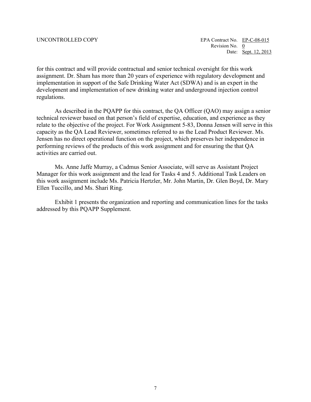implementation in support of the Safe Drinking Water Act (SDWA) and is an expert in the for this contract and will provide contractual and senior technical oversight for this work assignment. Dr. Sham has more than 20 years of experience with regulatory development and development and implementation of new drinking water and underground injection control regulations.

 relate to the objective of the project. For Work Assignment 5-83, Donna Jensen will serve in this performing reviews of the products of this work assignment and for ensuring the that QA As described in the PQAPP for this contract, the QA Officer (QAO) may assign a senior technical reviewer based on that person's field of expertise, education, and experience as they capacity as the QA Lead Reviewer, sometimes referred to as the Lead Product Reviewer. Ms. Jensen has no direct operational function on the project, which preserves her independence in activities are carried out.

 Ms. Anne Jaffe Murray, a Cadmus Senior Associate, will serve as Assistant Project Manager for this work assignment and the lead for Tasks 4 and 5. Additional Task Leaders on this work assignment include Ms. Patricia Hertzler, Mr. John Martin, Dr. Glen Boyd, Dr. Mary Ellen Tuccillo, and Ms. Shari Ring.

Exhibit 1 presents the organization and reporting and communication lines for the tasks addressed by this PQAPP Supplement.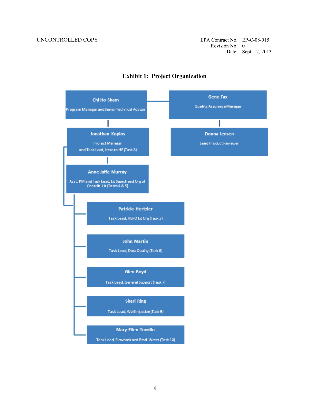UNCONTROLLED COPY EPA Contract No. EP-C-08-015 Revision No.  $0$ Date: <u>Sept. 12, 2013</u>



# **Exhibit 1: Project Organization**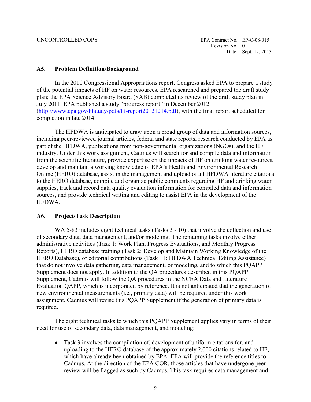### <span id="page-9-0"></span>**A5. Problem Definition/Background**

 of the potential impacts of HF on water resources. EPA researched and prepared the draft study July 2011. EPA published a study "progress report" in December 2012 In the 2010 Congressional Appropriations report, Congress asked EPA to prepare a study plan; the EPA Science Advisory Board (SAB) completed its review of the draft study plan in [\(http://www.epa.gov/hfstudy/pdfs/hf-report20121214.pdf\)](http://www.epa.gov/hfstudy/pdfs/hf-report20121214.pdf), with the final report scheduled for completion in late 2014.

 sources, and provide technical writing and editing to assist EPA in the development of the The HFDWA is anticipated to draw upon a broad group of data and information sources, including peer-reviewed journal articles, federal and state reports, research conducted by EPA as part of the HFDWA, publications from non-governmental organizations (NGOs), and the HF industry. Under this work assignment, Cadmus will search for and compile data and information from the scientific literature, provide expertise on the impacts of HF on drinking water resources, develop and maintain a working knowledge of EPA's Health and Environmental Research Online (HERO) database, assist in the management and upload of all HFDWA literature citations to the HERO database, compile and organize public comments regarding HF and drinking water supplies, track and record data quality evaluation information for compiled data and information **HFDWA** 

### <span id="page-9-1"></span>**A6. Project/Task Description**

WA 5-83 includes eight technical tasks (Tasks 3 - 10) that involve the collection and use new environmental measurements (i.e., primary data) will be required under this work of secondary data, data management, and/or modeling. The remaining tasks involve either administrative activities (Task 1: Work Plan, Progress Evaluations, and Monthly Progress Reports), HERO database training (Task 2: Develop and Maintain Working Knowledge of the HERO Database), or editorial contributions (Task 11: HFDWA Technical Editing Assistance) that do not involve data gathering, data management, or modeling, and to which this PQAPP Supplement does not apply. In addition to the QA procedures described in this PQAPP Supplement, Cadmus will follow the QA procedures in the NCEA Data and Literature Evaluation QAPP, which is incorporated by reference. It is not anticipated that the generation of assignment. Cadmus will revise this PQAPP Supplement if the generation of primary data is required.

 The eight technical tasks to which this PQAPP Supplement applies vary in terms of their need for use of secondary data, data management, and modeling:

 which have already been obtained by EPA. EPA will provide the reference titles to • Task 3 involves the compilation of, development of uniform citations for, and uploading to the HERO database of the approximately 2,000 citations related to HF, Cadmus. At the direction of the EPA COR, those articles that have undergone peer review will be flagged as such by Cadmus. This task requires data management and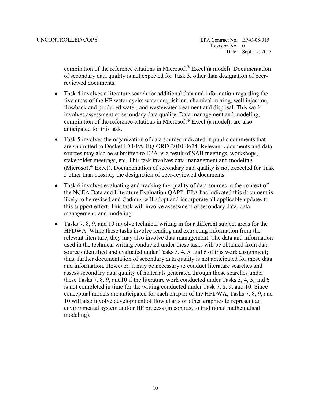reviewed documents. compilation of the reference citations in Microsoft® Excel (a model). Documentation of secondary data quality is not expected for Task 3, other than designation of peer-

- Task 4 involves a literature search for additional data and information regarding the five areas of the HF water cycle: water acquisition, chemical mixing, well injection, flowback and produced water, and wastewater treatment and disposal. This work involves assessment of secondary data quality. Data management and modeling, compilation of the reference citations in Microsoft® Excel (a model), are also anticipated for this task.
- are submitted to Docket ID EPA-HQ-ORD-2010-0674. Relevant documents and data 5 other than possibly the designation of peer-reviewed documents. • Task 5 involves the organization of data sources indicated in public comments that sources may also be submitted to EPA as a result of SAB meetings, workshops, stakeholder meetings, etc. This task involves data management and modeling (Microsoft® Excel). Documentation of secondary data quality is not expected for Task
- Task 6 involves evaluating and tracking the quality of data sources in the context of the NCEA Data and Literature Evaluation QAPP. EPA has indicated this document is likely to be revised and Cadmus will adopt and incorporate all applicable updates to this support effort. This task will involve assessment of secondary data, data management, and modeling.
- Tasks 7, 8, 9, and 10 involve technical writing in four different subject areas for the HFDWA. While these tasks involve reading and extracting information from the sources identified and evaluated under Tasks 3, 4, 5, and 6 of this work assignment; thus, further documentation of secondary data quality is not anticipated for those data relevant literature, they may also involve data management. The data and information used in the technical writing conducted under these tasks will be obtained from data and information. However, it may be necessary to conduct literature searches and assess secondary data quality of materials generated through those searches under these Tasks 7, 8, 9, and10 if the literature work conducted under Tasks 3, 4, 5, and 6 is not completed in time for the writing conducted under Task 7, 8, 9, and 10. Since conceptual models are anticipated for each chapter of the HFDWA, Tasks 7, 8, 9, and 10 will also involve development of flow charts or other graphics to represent an environmental system and/or HF process (in contrast to traditional mathematical modeling).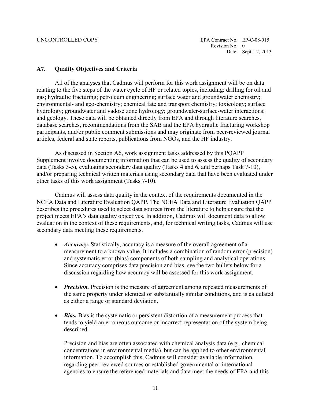### <span id="page-11-0"></span>**A7. Quality Objectives and Criteria**

 relating to the five steps of the water cycle of HF or related topics, including: drilling for oil and All of the analyses that Cadmus will perform for this work assignment will be on data gas; hydraulic fracturing; petroleum engineering; surface water and groundwater chemistry; environmental- and geo-chemistry; chemical fate and transport chemistry; toxicology; surface hydrology; groundwater and vadose zone hydrology; groundwater-surface-water interactions; and geology. These data will be obtained directly from EPA and through literature searches, database searches, recommendations from the SAB and the EPA hydraulic fracturing workshop participants, and/or public comment submissions and may originate from peer-reviewed journal articles, federal and state reports, publications from NGOs, and the HF industry.

As discussed in Section A6, work assignment tasks addressed by this PQAPP Supplement involve documenting information that can be used to assess the quality of secondary data (Tasks 3-5), evaluating secondary data quality (Tasks 4 and 6, and perhaps Task 7-10), and/or preparing technical written materials using secondary data that have been evaluated under other tasks of this work assignment (Tasks 7-10).

 NCEA Data and Literature Evaluation QAPP*.* The NCEA Data and Literature Evaluation QAPP secondary data meeting these requirements. Cadmus will assess data quality in the context of the requirements documented in the describes the procedures used to select data sources from the literature to help ensure that the project meets EPA's data quality objectives. In addition, Cadmus will document data to allow evaluation in the context of these requirements, and, for technical writing tasks, Cadmus will use

- measurement to a known value. It includes a combination of random error (precision) discussion regarding how accuracy will be assessed for this work assignment. • *Accuracy*. Statistically, accuracy is a measure of the overall agreement of a and systematic error (bias) components of both sampling and analytical operations. Since accuracy comprises data precision and bias, see the two bullets below for a
- *Precision.* Precision is the measure of agreement among repeated measurements of the same property under identical or substantially similar conditions, and is calculated as either a range or standard deviation.
- *Bias.* Bias is the systematic or persistent distortion of a measurement process that tends to yield an erroneous outcome or incorrect representation of the system being described.

 Precision and bias are often associated with chemical analysis data (e.g., chemical agencies to ensure the referenced materials and data meet the needs of EPA and this concentrations in environmental media), but can be applied to other environmental information. To accomplish this, Cadmus will consider available information regarding peer-reviewed sources or established governmental or international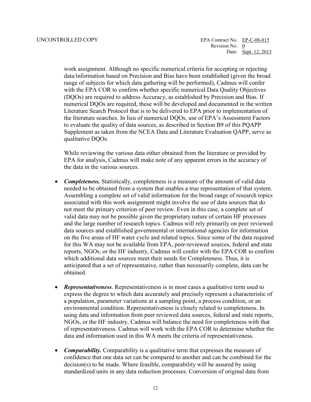work assignment. Although no specific numerical criteria for accepting or rejecting (DQOs) are required to address Accuracy, as established by Precision and Bias. If data/information based on Precision and Bias have been established (given the broad range of subjects for which data gathering will be performed), Cadmus will confer with the EPA COR to confirm whether specific numerical Data Quality Objectives numerical DQOs are required, these will be developed and documented in the written Literature Search Protocol that is to be delivered to EPA prior to implementation of the literature searches. In lieu of numerical DQOs, use of EPA's Assessment Factors to evaluate the quality of data sources, as described in Section B9 of this PQAPP Supplement as taken from the NCEA Data and Literature Evaluation QAPP, serve as qualitative DQOs.

 the data in the various sources. While reviewing the various data either obtained from the literature or provided by EPA for analysis, Cadmus will make note of any apparent errors in the accuracy of

- associated with this work assignment might involve the use of data sources that do valid data may not be possible given the proprietary nature of certain HF processes reports, NGOs, or the HF industry, Cadmus will confer with the EPA COR to confirm • *Completeness.* Statistically, completeness is a measure of the amount of valid data needed to be obtained from a system that enables a true representation of that system. Assembling a complete set of valid information for the broad range of research topics not meet the primary criterion of peer review. Even in this case, a complete set of and the large number of research topics. Cadmus will rely primarily on peer reviewed data sources and established governmental or international agencies for information on the five areas of HF water cycle and related topics. Since some of the data required for this WA may not be available from EPA, peer-reviewed sources, federal and state which additional data sources meet their needs for Completeness. Thus, it is anticipated that a set of representative, rather than necessarily complete, data can be obtained.
- **Representativeness**. Representativeness is in most cases a qualitative term used to using data and information from peer reviewed data sources, federal and state reports, express the degree to which data accurately and precisely represent a characteristic of a population, parameter variations at a sampling point, a process condition, or an environmental condition. Representativeness is closely related to completeness. In NGOs, or the HF industry, Cadmus will balance the need for completeness with that of representativeness. Cadmus will work with the EPA COR to determine whether the data and information used in this WA meets the criteria of representativeness.
- confidence that one data set can be compared to another and can be combined for the decision(s) to be made. Where feasible, comparability will be assured by using • *Comparability.* Comparability is a qualitative term that expresses the measure of standardized units in any data reduction processes. Conversion of original data from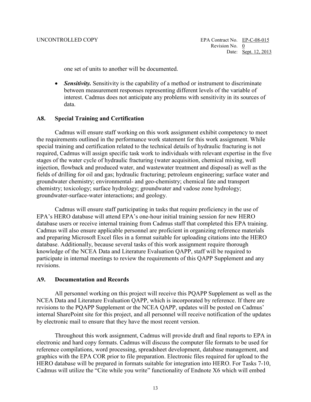one set of units to another will be documented.

• *Sensitivity.* Sensitivity is the capability of a method or instrument to discriminate between measurement responses representing different levels of the variable of interest. Cadmus does not anticipate any problems with sensitivity in its sources of data.

### <span id="page-13-0"></span>**A8. Special Training and Certification**

 required, Cadmus will assign specific task work to individuals with relevant expertise in the five stages of the water cycle of hydraulic fracturing (water acquisition, chemical mixing, well Cadmus will ensure staff working on this work assignment exhibit competency to meet the requirements outlined in the performance work statement for this work assignment. While special training and certification related to the technical details of hydraulic fracturing is not injection, flowback and produced water, and wastewater treatment and disposal) as well as the fields of drilling for oil and gas; hydraulic fracturing; petroleum engineering; surface water and groundwater chemistry; environmental- and geo-chemistry; chemical fate and transport chemistry; toxicology; surface hydrology; groundwater and vadose zone hydrology; groundwater-surface-water interactions; and geology.

Cadmus will ensure staff participating in tasks that require proficiency in the use of EPA's HERO database will attend EPA's one-hour initial training session for new HERO database users or receive internal training from Cadmus staff that completed this EPA training. Cadmus will also ensure applicable personnel are proficient in organizing reference materials and preparing Microsoft Excel files in a format suitable for uploading citations into the HERO database. Additionally, because several tasks of this work assignment require thorough knowledge of the NCEA Data and Literature Evaluation QAPP, staff will be required to participate in internal meetings to review the requirements of this QAPP Supplement and any revisions.

### <span id="page-13-1"></span>**A9. Documentation and Records**

 All personnel working on this project will receive this PQAPP Supplement as well as the revisions to the PQAPP Supplement or the NCEA QAPP, updates will be posted on Cadmus' internal SharePoint site for this project, and all personnel will receive notification of the updates by electronic mail to ensure that they have the most recent version. NCEA Data and Literature Evaluation QAPP, which is incorporated by reference. If there are

 Cadmus will utilize the "Cite while you write" functionality of Endnote X6 which will embed Throughout this work assignment, Cadmus will provide draft and final reports to EPA in electronic and hard copy formats. Cadmus will discuss the computer file formats to be used for reference compilations, word processing, spreadsheet development, database management, and graphics with the EPA COR prior to file preparation. Electronic files required for upload to the HERO database will be prepared in formats suitable for integration into HERO. For Tasks 7-10,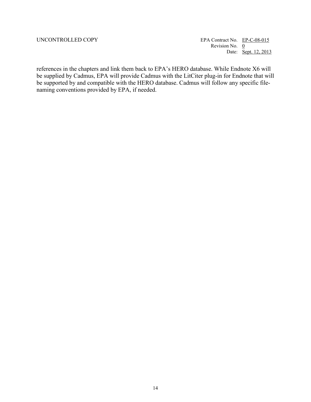Revision No. 0 UNCONTROLLED COPY EPA Contract No. EP-C-08-015 Date: <u>Sept. 12, 2013</u>

 be supported by and compatible with the HERO database. Cadmus will follow any specific filereferences in the chapters and link them back to EPA's HERO database. While Endnote X6 will be supplied by Cadmus, EPA will provide Cadmus with the LitCiter plug-in for Endnote that will naming conventions provided by EPA, if needed.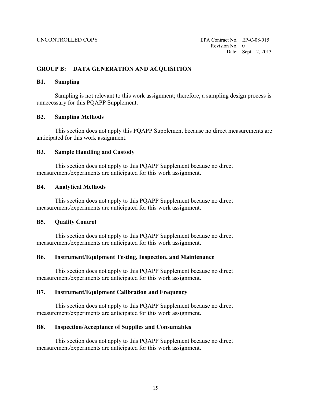# <span id="page-15-0"></span>**GROUP B: DATA GENERATION AND ACQUISITION**

### <span id="page-15-1"></span>**B1. Sampling**

 unnecessary for this PQAPP Supplement. Sampling is not relevant to this work assignment; therefore, a sampling design process is

### <span id="page-15-2"></span>**B2. Sampling Methods**

 This section does not apply this PQAPP Supplement because no direct measurements are anticipated for this work assignment.

### <span id="page-15-3"></span>**B3. Sample Handling and Custody**

This section does not apply to this PQAPP Supplement because no direct measurement/experiments are anticipated for this work assignment.

### <span id="page-15-4"></span>**B4. Analytical Methods**

This section does not apply to this PQAPP Supplement because no direct measurement/experiments are anticipated for this work assignment.

# <span id="page-15-5"></span> **B5. Quality Control**

This section does not apply to this PQAPP Supplement because no direct measurement/experiments are anticipated for this work assignment.

### <span id="page-15-6"></span>**B6. Instrument/Equipment Testing, Inspection, and Maintenance**

This section does not apply to this PQAPP Supplement because no direct measurement/experiments are anticipated for this work assignment.

### <span id="page-15-7"></span>**B7. Instrument/Equipment Calibration and Frequency**

This section does not apply to this PQAPP Supplement because no direct measurement/experiments are anticipated for this work assignment.

### <span id="page-15-8"></span>**B8. Inspection/Acceptance of Supplies and Consumables**

This section does not apply to this PQAPP Supplement because no direct measurement/experiments are anticipated for this work assignment.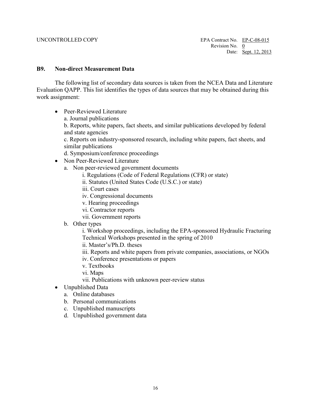### <span id="page-16-0"></span>**B9. Non-direct Measurement Data**

 The following list of secondary data sources is taken from the NCEA Data and Literature Evaluation QAPP. This list identifies the types of data sources that may be obtained during this work assignment:

- Peer-Reviewed Literature
	- a. Journal publications

 and state agencies b. Reports, white papers, fact sheets, and similar publications developed by federal

 similar publications c. Reports on industry-sponsored research, including white papers, fact sheets, and

d. Symposium/conference proceedings

- • Non Peer-Reviewed Literature
	- a. Non peer-reviewed government documents
		- i. Regulations (Code of Federal Regulations (CFR) or state)
		- ii. Statutes (United States Code (U.S.C.) or state)
		- iii. Court cases
		- iv. Congressional documents
		- v. Hearing proceedings
		- vi. Contractor reports
		- vii. Government reports
	- b. Other types

i. Workshop proceedings, including the EPA-sponsored Hydraulic Fracturing Technical Workshops presented in the spring of 2010

ii. Master's/Ph.D. theses

iii. Reports and white papers from private companies, associations, or NGOs

- iv. Conference presentations or papers
- v. Textbooks
- vi. Maps
- vii. Publications with unknown peer-review status
- Unpublished Data
	- a. Online databases
	- b. Personal communications
	- c. Unpublished manuscripts
	- d. Unpublished government data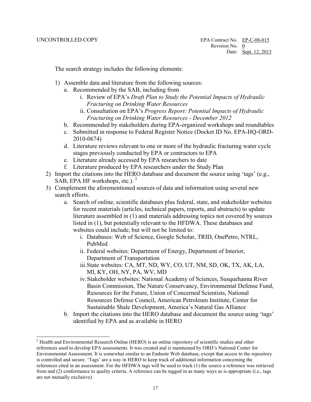$\overline{a}$ 

The search strategy includes the following elements:

- 1) Assemble data and literature from the following sources:
	- a. Recommended by the SAB, including from
		- i. Review of EPA's *Draft Plan to Study the Potential Impacts of Hydraulic Fracturing on Drinking Water Resources*
		- *Fracturing on Drinking Water Resources December 2012*  ii. Consultation on EPA's *Progress Report: Potential Impacts of Hydraulic*
	- b. Recommended by stakeholders during EPA-organized workshops and roundtables
	- c. Submitted in response to Federal Register Notice (Docket ID No. EPA-HQ-ORD-2010-0674)
	- stages previously conducted by EPA or contractors to EPA d. Literature reviews relevant to one or more of the hydraulic fracturing water cycle
	- e. Literature already accessed by EPA researchers to date.
	- f. Literature produced by EPA researchers under the Study Plan
- 2) Import the citations into the HERO database and document the source using 'tags' (e.g., SAB, EPA HF workshops, etc.).  $2^2$
- 3) Complement the aforementioned sources of data and information using several new search efforts.
	- a. Search of online, scientific databases plus federal, state, and stakeholder websites for recent materials (articles, technical papers, reports, and abstracts) to update literature assembled in (1) and materials addressing topics not covered by sources listed in (1), but potentially relevant to the HFDWA. These databases and websites could include, but will not be limited to:
		- i. Databases: Web of Science, Google Scholar, TRID, OnePetro, NTRL, PubMed
		- ii. Federal websites: Department of Energy, Department of Interior, Department of Transportation
		- iii.State websites: CA, MT, ND, WY, CO, UT, NM, SD, OK, TX, AK, LA, MI, KY, OH, NY, PA, WV, MD
		- Resources Defense Council, American Petroleum Institute, Center for iv. Stakeholder websites: National Academy of Sciences, Susquehanna River Basin Commission, The Nature Conservancy, Environmental Defense Fund, Resources for the Future, Union of Concerned Scientists, National Sustainable Shale Development, America's Natural Gas Alliance
	- b. Import the citations into the HERO database and document the source using 'tags' identified by EPA and as available in HERO

<span id="page-17-0"></span> references used to develop EPA assessments. It was created and is maintained by ORD's National Center for from and (2) conformance to quality criteria. A reference can be tagged in as many ways as is appropriate (i.e., tags <sup>2</sup> Health and Environmental Research Online (HERO) is an online repository of scientific studies and other Environmental Assessment. It is somewhat similar to an Endnote Web database, except that access to the repository is controlled and secure. 'Tags' are a way in HERO to keep track of additional information concerning the references cited in an assessment. For the HFDWA tags will be used to track (1) the source a reference was retrieved are not mutually exclusive).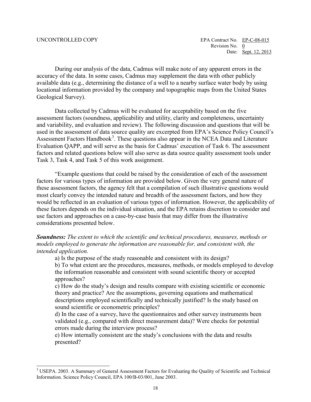$\overline{a}$ 

 accuracy of the data. In some cases, Cadmus may supplement the data with other publicly Geological Survey). During our analysis of the data, Cadmus will make note of any apparent errors in the available data (e.g., determining the distance of a well to a nearby surface water body by using locational information provided by the company and topographic maps from the United States

 and variability, and evaluation and review). The following discussion and questions that will be Evaluation QAPP, and will serve as the basis for Cadmus' execution of Task 6. The assessment Data collected by Cadmus will be evaluated for acceptability based on the five assessment factors (soundness, applicability and utility, clarity and completeness, uncertainty used in the assessment of data source quality are excerpted from EPA's Science Policy Council's Assessment Factors Handbook<sup>[3](#page-18-0)</sup>. These questions also appear in the NCEA Data and Literature factors and related questions below will also serve as data source quality assessment tools under Task 3, Task 4, and Task 5 of this work assignment.

 these assessment factors, the agency felt that a compilation of such illustrative questions would "Example questions that could be raised by the consideration of each of the assessment factors for various types of information are provided below. Given the very general nature of most clearly convey the intended nature and breadth of the assessment factors, and how they would be reflected in an evaluation of various types of information. However, the applicability of these factors depends on the individual situation, and the EPA retains discretion to consider and use factors and approaches on a case-by-case basis that may differ from the illustrative considerations presented below.

*Soundness: The extent to which the scientific and technical procedures, measures, methods or models employed to generate the information are reasonable for, and consistent with, the intended application.* 

a) Is the purpose of the study reasonable and consistent with its design?

b) To what extent are the procedures, measures, methods, or models employed to develop the information reasonable and consistent with sound scientific theory or accepted approaches?

sound scientific or econometric principles? c) How do the study's design and results compare with existing scientific or economic theory and practice? Are the assumptions, governing equations and mathematical descriptions employed scientifically and technically justified? Is the study based on

 validated (e.g., compared with direct measurement data)? Were checks for potential d) In the case of a survey, have the questionnaires and other survey instruments been errors made during the interview process?

e) How internally consistent are the study's conclusions with the data and results presented?

<span id="page-18-0"></span><sup>3</sup> USEPA. 2003. A Summary of General Assessment Factors for Evaluating the Quality of Scientific and Technical Information. Science Policy Council, EPA 100/B-03/001, June 2003.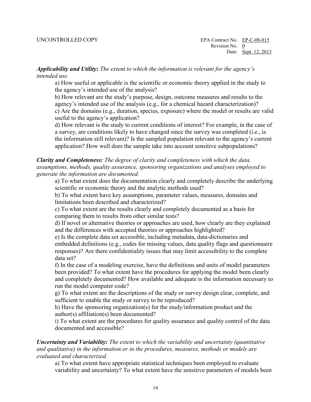*Applicability and Utility: The extent to which the information is relevant for the agency's intended use.* 

 the agency's intended use of the analysis? a) How useful or applicable is the scientific or economic theory applied in the study to

useful to the agency's application? b) How relevant are the study's purpose, design, outcome measures and results to the agency's intended use of the analysis (e.g., for a chemical hazard characterization)? c) Are the domains (e.g., duration, species, exposure) where the model or results are valid

d) How relevant is the study to current conditions of interest? For example, in the case of a survey, are conditions likely to have changed since the survey was completed (i.e., is the information still relevant)? Is the sampled population relevant to the agency's current application? How well does the sample take into account sensitive subpopulations?

*Clarity and Completeness: The degree of clarity and completeness with which the data, assumptions, methods, quality assurance, sponsoring organizations and analyses employed to generate the information are documented.* 

 scientific or economic theory and the analytic methods used? a) To what extent does the documentation clearly and completely describe the underlying

b) To what extent have key assumptions, parameter values, measures, domains and limitations been described and characterized?

c) To what extent are the results clearly and completely documented as a basis for comparing them to results from other similar tests?

 d) If novel or alternative theories or approaches are used, how clearly are they explained and the differences with accepted theories or approaches highlighted?

and the differences with accepted theories or approaches highlighted? e) Is the complete data set accessible, including metadata, data-dictionaries and embedded definitions (e.g., codes for missing values, data quality flags and questionnaire responses)? Are there confidentiality issues that may limit accessibility to the complete data set?

 run the model computer code? f) In the case of a modeling exercise, have the definitions and units of model parameters been provided? To what extent have the procedures for applying the model been clearly and completely documented? How available and adequate is the information necessary to

sufficient to enable the study or survey to be reproduced? g) To what extent are the descriptions of the study or survey design clear, complete, and

author(s) affiliation(s) been documented? h) Have the sponsoring organization(s) for the study/information product and the

i) To what extent are the procedures for quality assurance and quality control of the data documented and accessible?

*Uncertainty and Variability: The extent to which the variability and uncertainty (quantitative and qualitative) in the information or in the procedures, measures, methods or models are evaluated and characterized.* 

a) To what extent have appropriate statistical techniques been employed to evaluate variability and uncertainty? To what extent have the sensitive parameters of models been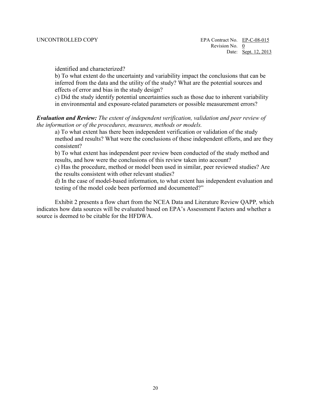identified and characterized?

effects of error and bias in the study design? b) To what extent do the uncertainty and variability impact the conclusions that can be inferred from the data and the utility of the study? What are the potential sources and

c) Did the study identify potential uncertainties such as those due to inherent variability in environmental and exposure-related parameters or possible measurement errors?

### *Evaluation and Review: The extent of independent verification, validation and peer review of the information or of the procedures, measures, methods or models.*

 consistent? a) To what extent has there been independent verification or validation of the study method and results? What were the conclusions of these independent efforts, and are they

 results, and how were the conclusions of this review taken into account? b) To what extent has independent peer review been conducted of the study method and

 c) Has the procedure, method or model been used in similar, peer reviewed studies? Are the results consistent with other relevant studies?

d) In the case of model-based information, to what extent has independent evaluation and testing of the model code been performed and documented?"

 Exhibit 2 presents a flow chart from the NCEA Data and Literature Review QAPP*,* which indicates how data sources will be evaluated based on EPA's Assessment Factors and whether a source is deemed to be citable for the HFDWA.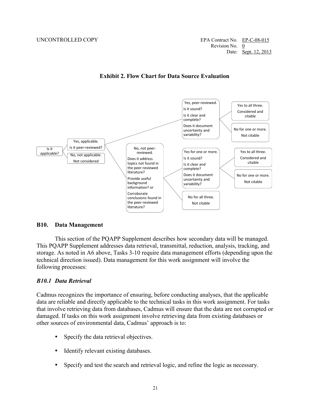UNCONTROLLED COPY EPA Contract No. EP-C-08-015 Revision No. 0 Date: Sept. 12, 2013



**Exhibit 2. Flow Chart for Data Source Evaluation** 

### <span id="page-21-0"></span>**B10. Data Management**

This section of the PQAPP Supplement describes how secondary data will be managed. This PQAPP Supplement addresses data retrieval, transmittal, reduction, analysis, tracking, and storage. As noted in A6 above, Tasks 3-10 require data management efforts (depending upon the technical direction issued). Data management for this work assignment will involve the following processes:

### *B10.1 Data Retrieval*

 other sources of environmental data, Cadmus' approach is to: Cadmus recognizes the importance of ensuring, before conducting analyses, that the applicable data are reliable and directly applicable to the technical tasks in this work assignment. For tasks that involve retrieving data from databases, Cadmus will ensure that the data are not corrupted or damaged. If tasks on this work assignment involve retrieving data from existing databases or

- Specify the data retrieval objectives.
- Identify relevant existing databases.
- Specify and test the search and retrieval logic, and refine the logic as necessary.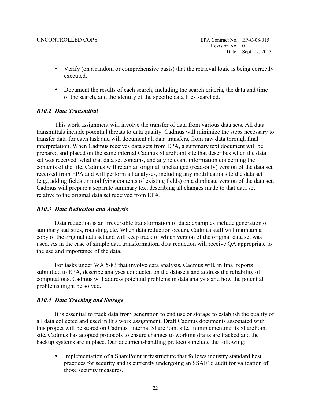- Verify (on a random or comprehensive basis) that the retrieval logic is being correctly executed.
- Document the results of each search, including the search criteria, the data and time of the search, and the identity of the specific data files searched.

## *B10.2 Data Transmittal*

This work assignment will involve the transfer of data from various data sets. All data transmittals include potential threats to data quality. Cadmus will minimize the steps necessary to transfer data for each task and will document all data transfers, from raw data through final interpretation. When Cadmus receives data sets from EPA, a summary text document will be prepared and placed on the same internal Cadmus SharePoint site that describes when the data set was received, what that data set contains, and any relevant information concerning the contents of the file. Cadmus will retain an original, unchanged (read-only) version of the data set received from EPA and will perform all analyses, including any modifications to the data set (e.g., adding fields or modifying contents of existing fields) on a duplicate version of the data set. Cadmus will prepare a separate summary text describing all changes made to that data set relative to the original data set received from EPA.

# *B10.3 Data Reduction and Analysis*

Data reduction is an irreversible transformation of data: examples include generation of summary statistics, rounding, etc. When data reduction occurs, Cadmus staff will maintain a copy of the original data set and will keep track of which version of the original data set was used. As in the case of simple data transformation, data reduction will receive QA appropriate to the use and importance of the data.

 For tasks under WA 5-83 that involve data analysis, Cadmus will, in final reports submitted to EPA, describe analyses conducted on the datasets and address the reliability of computations. Cadmus will address potential problems in data analysis and how the potential problems might be solved.

# *B10.4 Data Tracking and Storage*

 site, Cadmus has adopted protocols to ensure changes to working drafts are tracked and the backup systems are in place. Our document-handling protocols include the following: It is essential to track data from generation to end use or storage to establish the quality of all data collected and used in this work assignment. Draft Cadmus documents associated with this project will be stored on Cadmus' internal SharePoint site. In implementing its SharePoint

• Implementation of a SharePoint infrastructure that follows industry standard best practices for security and is currently undergoing an SSAE16 audit for validation of those security measures.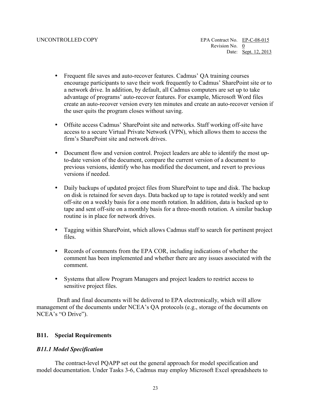- advantage of programs' auto-recover features. For example, Microsoft Word files Frequent file saves and auto-recover features. Cadmus' QA training courses encourage participants to save their work frequently to Cadmus' SharePoint site or to a network drive. In addition, by default, all Cadmus computers are set up to take create an auto-recover version every ten minutes and create an auto-recover version if the user quits the program closes without saving.
- firm's SharePoint site and network drives. Offsite access Cadmus' SharePoint site and networks. Staff working off-site have access to a secure Virtual Private Network (VPN), which allows them to access the
- to-date version of the document, compare the current version of a document to Document flow and version control. Project leaders are able to identify the most upprevious versions, identify who has modified the document, and revert to previous versions if needed.
- on disk is retained for seven days. Data backed up to tape is rotated weekly and sent Daily backups of updated project files from SharePoint to tape and disk. The backup off-site on a weekly basis for a one month rotation. In addition, data is backed up to tape and sent off-site on a monthly basis for a three-month rotation. A similar backup routine is in place for network drives.
- Tagging within SharePoint, which allows Cadmus staff to search for pertinent project files.
- Records of comments from the EPA COR, including indications of whether the comment has been implemented and whether there are any issues associated with the comment.
- Systems that allow Program Managers and project leaders to restrict access to sensitive project files.

 Draft and final documents will be delivered to EPA electronically, which will allow management of the documents under NCEA's QA protocols (e.g., storage of the documents on NCEA's "O Drive").

# <span id="page-23-0"></span>**B11. Special Requirements**

# *B11.1 Model Specification*

The contract-level PQAPP set out the general approach for model specification and model documentation. Under Tasks 3-6, Cadmus may employ Microsoft Excel spreadsheets to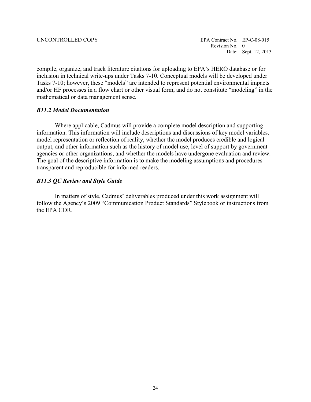compile, organize, and track literature citations for uploading to EPA's HERO database or for inclusion in technical write-ups under Tasks 7-10. Conceptual models will be developed under Tasks 7-10; however, these "models" are intended to represent potential environmental impacts and/or HF processes in a flow chart or other visual form, and do not constitute "modeling" in the mathematical or data management sense.

### *B11.2 Model Documentation*

 output, and other information such as the history of model use, level of support by government transparent and reproducible for informed readers. Where applicable, Cadmus will provide a complete model description and supporting information. This information will include descriptions and discussions of key model variables, model representation or reflection of reality, whether the model produces credible and logical agencies or other organizations, and whether the models have undergone evaluation and review. The goal of the descriptive information is to make the modeling assumptions and procedures

### *B11.3 QC Review and Style Guide*

the EPA COR. In matters of style, Cadmus' deliverables produced under this work assignment will follow the Agency's 2009 "Communication Product Standards" Stylebook or instructions from the EPA COR.<br>
24<br>
24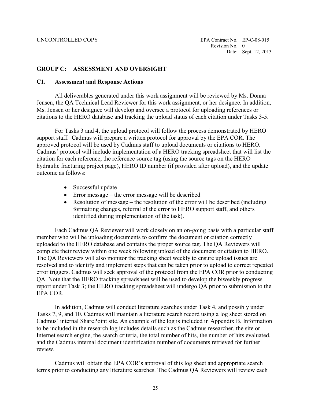### <span id="page-25-0"></span>**GROUP C: ASSESSMENT AND OVERSIGHT**

### <span id="page-25-1"></span> **C1. Assessment and Response Actions**

 citations to the HERO database and tracking the upload status of each citation under Tasks 3-5. All deliverables generated under this work assignment will be reviewed by Ms. Donna Jensen, the QA Technical Lead Reviewer for this work assignment, or her designee. In addition, Ms. Jensen or her designee will develop and oversee a protocol for uploading references or

 support staff. Cadmus will prepare a written protocol for approval by the EPA COR. The For Tasks 3 and 4, the upload protocol will follow the process demonstrated by HERO approved protocol will be used by Cadmus staff to upload documents or citations to HERO. Cadmus' protocol will include implementation of a HERO tracking spreadsheet that will list the citation for each reference, the reference source tag (using the source tags on the HERO hydraulic fracturing project page), HERO ID number (if provided after upload), and the update outcome as follows:

- Successful update
- Error message the error message will be described
- Resolution of message the resolution of the error will be described (including formatting changes, referral of the error to HERO support staff, and others identified during implementation of the task).

Each Cadmus QA Reviewer will work closely on an on-going basis with a particular staff member who will be uploading documents to confirm the document or citation correctly uploaded to the HERO database and contains the proper source tag. The QA Reviewers will complete their review within one week following upload of the document or citation to HERO. The QA Reviewers will also monitor the tracking sheet weekly to ensure upload issues are resolved and to identify and implement steps that can be taken prior to upload to correct repeated error triggers. Cadmus will seek approval of the protocol from the EPA COR prior to conducting QA. Note that the HERO tracking spreadsheet will be used to develop the biweekly progress report under Task 3; the HERO tracking spreadsheet will undergo QA prior to submission to the EPA COR.

 In addition, Cadmus will conduct literature searches under Task 4, and possibly under Tasks 7, 9, and 10. Cadmus will maintain a literature search record using a log sheet stored on and the Cadmus internal document identification number of documents retrieved for further Cadmus' internal SharePoint site. An example of the log is included in Appendix B. Information to be included in the research log includes details such as the Cadmus researcher, the site or Internet search engine, the search criteria, the total number of hits, the number of hits evaluated, review.

 terms prior to conducting any literature searches. The Cadmus QA Reviewers will review each Cadmus will obtain the EPA COR's approval of this log sheet and appropriate search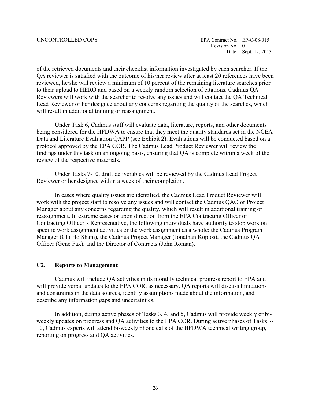will result in additional training or reassignment. of the retrieved documents and their checklist information investigated by each searcher. If the QA reviewer is satisfied with the outcome of his/her review after at least 20 references have been reviewed, he/she will review a minimum of 10 percent of the remaining literature searches prior to their upload to HERO and based on a weekly random selection of citations. Cadmus QA Reviewers will work with the searcher to resolve any issues and will contact the QA Technical Lead Reviewer or her designee about any concerns regarding the quality of the searches, which

 Under Task 6, Cadmus staff will evaluate data, literature, reports, and other documents being considered for the HFDWA to ensure that they meet the quality standards set in the NCEA Data and Literature Evaluation QAPP (see Exhibit 2). Evaluations will be conducted based on a protocol approved by the EPA COR. The Cadmus Lead Product Reviewer will review the findings under this task on an ongoing basis, ensuring that QA is complete within a week of the review of the respective materials.

Under Tasks 7-10, draft deliverables will be reviewed by the Cadmus Lead Project Reviewer or her designee within a week of their completion.

 In cases where quality issues are identified, the Cadmus Lead Product Reviewer will specific work assignment activities or the work assignment as a whole: the Cadmus Program work with the project staff to resolve any issues and will contact the Cadmus QAO or Project Manager about any concerns regarding the quality, which will result in additional training or reassignment. In extreme cases or upon direction from the EPA Contracting Officer or Contracting Officer's Representative, the following individuals have authority to stop work on Manager (Chi Ho Sham), the Cadmus Project Manager (Jonathan Koplos), the Cadmus QA Officer (Gene Fax), and the Director of Contracts (John Roman).

### <span id="page-26-0"></span>**C2. Reports to Management**

Cadmus will include QA activities in its monthly technical progress report to EPA and will provide verbal updates to the EPA COR, as necessary. QA reports will discuss limitations and constraints in the data sources, identify assumptions made about the information, and describe any information gaps and uncertainties.

In addition, during active phases of Tasks 3, 4, and 5, Cadmus will provide weekly or biweekly updates on progress and QA activities to the EPA COR. During active phases of Tasks 7 10, Cadmus experts will attend bi-weekly phone calls of the HFDWA technical writing group, reporting on progress and QA activities.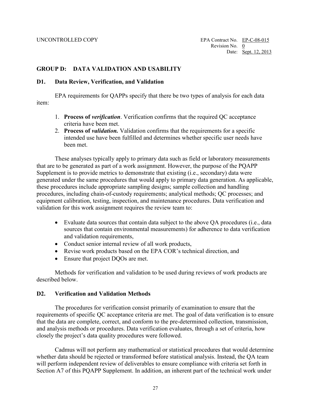## <span id="page-27-0"></span>**GROUP D: DATA VALIDATION AND USABILITY**

### <span id="page-27-1"></span>**D1. Data Review, Verification, and Validation**

EPA requirements for QAPPs specify that there be two types of analysis for each data item:

- 1. **Process of** *verification*. Verification confirms that the required QC acceptance criteria have been met.
- 2. **Process of** *validation.* Validation confirms that the requirements for a specific intended use have been fulfilled and determines whether specific user needs have been met.

 These analyses typically apply to primary data such as field or laboratory measurements that are to be generated as part of a work assignment. However, the purpose of the PQAPP generated under the same procedures that would apply to primary data generation. As applicable, Supplement is to provide metrics to demonstrate that existing (i.e., secondary) data were these procedures include appropriate sampling designs; sample collection and handling procedures, including chain-of-custody requirements; analytical methods; QC processes; and equipment calibration, testing, inspection, and maintenance procedures. Data verification and validation for this work assignment requires the review team to:

- Evaluate data sources that contain data subject to the above QA procedures (i.e., data sources that contain environmental measurements) for adherence to data verification and validation requirements,
- Conduct senior internal review of all work products,
- Revise work products based on the EPA COR's technical direction, and
- Ensure that project DQOs are met.

Methods for verification and validation to be used during reviews of work products are described below.

### <span id="page-27-2"></span>**D2. Verification and Validation Methods**

The procedures for verification consist primarily of examination to ensure that the requirements of specific QC acceptance criteria are met. The goal of data verification is to ensure that the data are complete, correct, and conform to the pre-determined collection, transmission, and analysis methods or procedures. Data verification evaluates, through a set of criteria, how closely the project's data quality procedures were followed.

Cadmus will not perform any mathematical or statistical procedures that would determine whether data should be rejected or transformed before statistical analysis. Instead, the QA team will perform independent review of deliverables to ensure compliance with criteria set forth in Section A7 of this PQAPP Supplement. In addition, an inherent part of the technical work under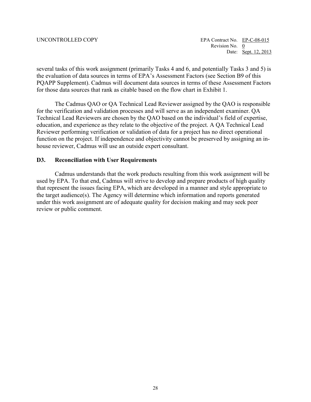several tasks of this work assignment (primarily Tasks 4 and 6, and potentially Tasks 3 and 5) is the evaluation of data sources in terms of EPA's Assessment Factors (see Section B9 of this PQAPP Supplement). Cadmus will document data sources in terms of these Assessment Factors for those data sources that rank as citable based on the flow chart in Exhibit 1.

 education, and experience as they relate to the objective of the project. A QA Technical Lead Reviewer performing verification or validation of data for a project has no direct operational The Cadmus QAO or QA Technical Lead Reviewer assigned by the QAO is responsible for the verification and validation processes and will serve as an independent examiner. QA Technical Lead Reviewers are chosen by the QAO based on the individual's field of expertise, function on the project. If independence and objectivity cannot be preserved by assigning an inhouse reviewer, Cadmus will use an outside expert consultant.

### <span id="page-28-0"></span>**D3. Reconciliation with User Requirements**

Cadmus understands that the work products resulting from this work assignment will be used by EPA. To that end, Cadmus will strive to develop and prepare products of high quality that represent the issues facing EPA, which are developed in a manner and style appropriate to the target audience(s). The Agency will determine which information and reports generated under this work assignment are of adequate quality for decision making and may seek peer review or public comment.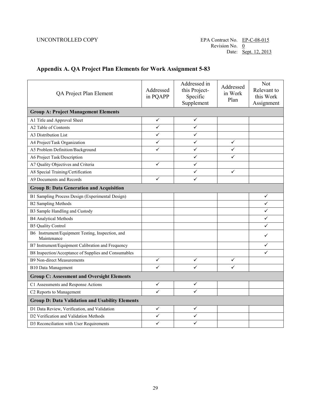### <span id="page-29-0"></span> **Appendix A. QA Project Plan Elements for Work Assignment 5-83**

| QA Project Plan Element                                         | Addressed<br>in PQAPP | Addressed in<br>this Project-<br>Specific<br>Supplement | Addressed<br>in Work<br>Plan | Not<br>Relevant to<br>this Work<br>Assignment |  |
|-----------------------------------------------------------------|-----------------------|---------------------------------------------------------|------------------------------|-----------------------------------------------|--|
| <b>Group A: Project Management Elements</b>                     |                       |                                                         |                              |                                               |  |
| A1 Title and Approval Sheet                                     | ✓                     | ✓                                                       |                              |                                               |  |
| A2 Table of Contents                                            | ✓                     | ✓                                                       |                              |                                               |  |
| A3 Distribution List                                            | ✓                     | ✓                                                       |                              |                                               |  |
| A4 Project/Task Organization                                    | ✓                     | ✓                                                       | $\checkmark$                 |                                               |  |
| A5 Problem Definition/Background                                | ✓                     | ✓                                                       | ✓                            |                                               |  |
| A6 Project Task/Description                                     |                       | ✓                                                       | ✓                            |                                               |  |
| A7 Quality Objectives and Criteria                              | ✓                     | ✓                                                       |                              |                                               |  |
| A8 Special Training/Certification                               |                       | ✓                                                       | ✓                            |                                               |  |
| A9 Documents and Records                                        | ✓                     | ✓                                                       |                              |                                               |  |
| <b>Group B: Data Generation and Acquisition</b>                 |                       |                                                         |                              |                                               |  |
| B1 Sampling Process Design (Experimental Design)                |                       |                                                         |                              | ✓                                             |  |
| <b>B2 Sampling Methods</b>                                      |                       |                                                         |                              | ✓                                             |  |
| B3 Sample Handling and Custody                                  |                       |                                                         |                              | $\checkmark$                                  |  |
| <b>B4 Analytical Methods</b>                                    |                       |                                                         |                              | $\checkmark$                                  |  |
| <b>B5 Quality Control</b>                                       |                       |                                                         |                              | $\checkmark$                                  |  |
| B6 Instrument/Equipment Testing, Inspection, and<br>Maintenance |                       |                                                         |                              | ✓                                             |  |
| B7 Instrument/Equipment Calibration and Frequency               |                       |                                                         |                              | $\checkmark$                                  |  |
| B8 Inspection/Acceptance of Supplies and Consumables            |                       |                                                         |                              | ✓                                             |  |
| <b>B9 Non-direct Measurements</b>                               | $\checkmark$          | $\checkmark$                                            | ✓                            |                                               |  |
| <b>B10 Data Management</b>                                      | ✓                     | ✓                                                       | ✓                            |                                               |  |
| <b>Group C: Assessment and Oversight Elements</b>               |                       |                                                         |                              |                                               |  |
| C1 Assessments and Response Actions                             | ✓                     | ✓                                                       |                              |                                               |  |
| C2 Reports to Management                                        | $\checkmark$          | $\checkmark$                                            |                              |                                               |  |
| <b>Group D: Data Validation and Usability Elements</b>          |                       |                                                         |                              |                                               |  |
| D1 Data Review, Verification, and Validation                    | ✓                     | ✓                                                       |                              |                                               |  |
| D2 Verification and Validation Methods                          | ✓                     | ✓                                                       |                              |                                               |  |
| D3 Reconciliation with User Requirements                        | ✓                     | ✓                                                       |                              |                                               |  |